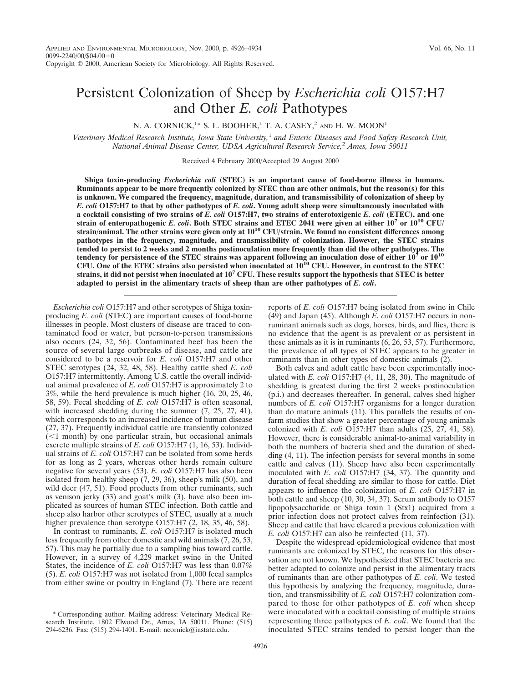# Persistent Colonization of Sheep by *Escherichia coli* O157:H7 and Other *E. coli* Pathotypes

N. A. CORNICK,<sup>1\*</sup> S. L. BOOHER,<sup>1</sup> T. A. CASEY,<sup>2</sup> and H. W. MOON<sup>1</sup>

*Veterinary Medical Research Institute, Iowa State University,*<sup>1</sup> *and Enteric Diseases and Food Safety Research Unit, National Animal Disease Center, UDSA Agricultural Research Service,*<sup>2</sup> *Ames, Iowa 50011*

Received 4 February 2000/Accepted 29 August 2000

**Shiga toxin-producing** *Escherichia coli* **(STEC) is an important cause of food-borne illness in humans. Ruminants appear to be more frequently colonized by STEC than are other animals, but the reason(s) for this is unknown. We compared the frequency, magnitude, duration, and transmissibility of colonization of sheep by** *E. coli* **O157:H7 to that by other pathotypes of** *E. coli***. Young adult sheep were simultaneously inoculated with a cocktail consisting of two strains of** *E. coli* **O157:H7, two strains of enterotoxigenic** *E. coli* **(ETEC), and one strain of enteropathogenic** *E. coli***. Both STEC strains and ETEC 2041 were given at either 107 or 1010 CFU/ strain/animal. The other strains were given only at 1010 CFU/strain. We found no consistent differences among pathotypes in the frequency, magnitude, and transmissibility of colonization. However, the STEC strains tended to persist to 2 weeks and 2 months postinoculation more frequently than did the other pathotypes. The tendency for persistence of the STEC strains was apparent following an inoculation dose of either 107 or 1010 CFU. One of the ETEC strains also persisted when inoculated at 1010 CFU. However, in contrast to the STEC strains, it did not persist when inoculated at 107 CFU. These results support the hypothesis that STEC is better adapted to persist in the alimentary tracts of sheep than are other pathotypes of** *E. coli***.**

*Escherichia coli* O157:H7 and other serotypes of Shiga toxinproducing *E. coli* (STEC) are important causes of food-borne illnesses in people. Most clusters of disease are traced to contaminated food or water, but person-to-person transmissions also occurs (24, 32, 56). Contaminated beef has been the source of several large outbreaks of disease, and cattle are considered to be a reservoir for *E. coli* O157:H7 and other STEC serotypes (24, 32, 48, 58). Healthy cattle shed *E. coli* O157:H7 intermittently. Among U.S. cattle the overall individual animal prevalence of *E. coli* O157:H7 is approximately 2 to 3%, while the herd prevalence is much higher (16, 20, 25, 46, 58, 59). Fecal shedding of *E. coli* O157:H7 is often seasonal, with increased shedding during the summer  $(7, 25, 27, 41)$ , which corresponds to an increased incidence of human disease (27, 37). Frequently individual cattle are transiently colonized  $(<1$  month) by one particular strain, but occasional animals excrete multiple strains of *E. coli* O157:H7 (1, 16, 53). Individual strains of *E. coli* O157:H7 can be isolated from some herds for as long as 2 years, whereas other herds remain culture negative for several years (53). *E. coli* O157:H7 has also been isolated from healthy sheep (7, 29, 36), sheep's milk (50), and wild deer (47, 51). Food products from other ruminants, such as venison jerky (33) and goat's milk (3), have also been implicated as sources of human STEC infection. Both cattle and sheep also harbor other serotypes of STEC, usually at a much higher prevalence than serotype O157:H7 (2, 18, 35, 46, 58).

In contrast to ruminants, *E. coli* O157:H7 is isolated much less frequently from other domestic and wild animals (7, 26, 53, 57). This may be partially due to a sampling bias toward cattle. However, in a survey of 4,229 market swine in the United States, the incidence of *E. coli* O157:H7 was less than 0.07% (5). *E. coli* O157:H7 was not isolated from 1,000 fecal samples from either swine or poultry in England (7). There are recent reports of *E. coli* O157:H7 being isolated from swine in Chile (49) and Japan (45). Although *E. coli* O157:H7 occurs in nonruminant animals such as dogs, horses, birds, and flies, there is no evidence that the agent is as prevalent or as persistent in these animals as it is in ruminants (6, 26, 53, 57). Furthermore, the prevalence of all types of STEC appears to be greater in ruminants than in other types of domestic animals (2).

Both calves and adult cattle have been experimentally inoculated with *E. coli* O157:H7 (4, 11, 28, 30). The magnitude of shedding is greatest during the first 2 weeks postinoculation (p.i.) and decreases thereafter. In general, calves shed higher numbers of *E. coli* O157:H7 organisms for a longer duration than do mature animals (11). This parallels the results of onfarm studies that show a greater percentage of young animals colonized with *E. coli* O157:H7 than adults (25, 27, 41, 58). However, there is considerable animal-to-animal variability in both the numbers of bacteria shed and the duration of shedding (4, 11). The infection persists for several months in some cattle and calves (11). Sheep have also been experimentally inoculated with *E. coli* O157:H7 (34, 37). The quantity and duration of fecal shedding are similar to those for cattle. Diet appears to influence the colonization of *E. coli* O157:H7 in both cattle and sheep (10, 30, 34, 37). Serum antibody to O157 lipopolysaccharide or Shiga toxin 1 (Stx1) acquired from a prior infection does not protect calves from reinfection (31). Sheep and cattle that have cleared a previous colonization with *E. coli* O157:H7 can also be reinfected (11, 37).

Despite the widespread epidemiological evidence that most ruminants are colonized by STEC, the reasons for this observation are not known. We hypothesized that STEC bacteria are better adapted to colonize and persist in the alimentary tracts of ruminants than are other pathotypes of *E. coli*. We tested this hypothesis by analyzing the frequency, magnitude, duration, and transmissibility of *E. coli* O157:H7 colonization compared to those for other pathotypes of *E. coli* when sheep were inoculated with a cocktail consisting of multiple strains representing three pathotypes of *E. coli*. We found that the inoculated STEC strains tended to persist longer than the

<sup>\*</sup> Corresponding author. Mailing address: Veterinary Medical Research Institute, 1802 Elwood Dr., Ames, IA 50011. Phone: (515) 294-6236. Fax: (515) 294-1401. E-mail: ncornick@iastate.edu.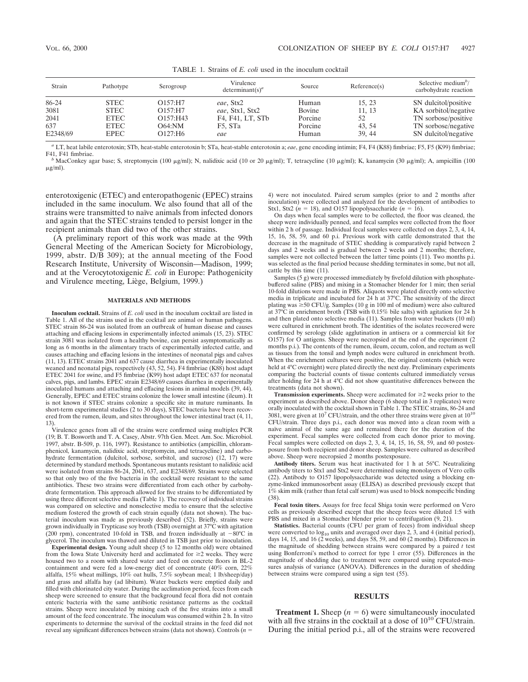| Strain   | Pathotype   | Serogroup              | Virulence<br>$determinant(s)^a$  | Source  | Reference(s) | Selective medium <sup>b</sup> /<br>carbohydrate reaction |  |
|----------|-------------|------------------------|----------------------------------|---------|--------------|----------------------------------------------------------|--|
| 86-24    | <b>STEC</b> | O157:HT                | eae, Stx2                        | Human   | 15.23        | SN dulcitol/positive                                     |  |
| 3081     | <b>STEC</b> | O157:HT                | eae, Stx1, Stx2                  | Bovine  | 11.13        | KA sorbitol/negative                                     |  |
| 2041     | <b>ETEC</b> | O157: H43              | F4, F41, LT, STb                 | Porcine | 52           | TN sorbose/positive                                      |  |
| 637      | ETEC        | O64:NM                 | F <sub>5</sub> , S <sub>Ta</sub> | Porcine | 43.54        | TN sorbose/negative                                      |  |
| E2348/69 | EPEC        | $O127:$ H <sub>6</sub> | eae                              | Human   | 39.44        | SN dulcitol/negative                                     |  |

TABLE 1. Strains of *E. coli* used in the inoculum cocktail

*<sup>a</sup>* LT, heat labile enterotoxin; STb, heat-stable enterotoxin b; STa, heat-stable enterotoxin a; *eae*, gene encoding intimin; F4, F4 (K88) fimbriae; F5, F5 (K99) fimbriae;

<sup>b</sup> MacConkey agar base; S, streptomycin (100 μg/ml); N, nalidixic acid (10 or 20 μg/ml); T, tetracycline (10 μg/ml); K, kanamycin (30 μg/ml); A, ampicillin (100  $\mu$ g/ml).

enterotoxigenic (ETEC) and enteropathogenic (EPEC) strains included in the same inoculum. We also found that all of the strains were transmitted to naïve animals from infected donors and again that the STEC strains tended to persist longer in the recipient animals than did two of the other strains.

(A preliminary report of this work was made at the 99th General Meeting of the American Society for Microbiology, 1999, abstr.  $D/\bar{B}$  309); at the annual meeting of the Food Research Institute, University of Wisconsin—Madison, 1999; and at the Verocytotoxigenic *E. coli* in Europe: Pathogenicity and Virulence meeting, Liège, Belgium, 1999.)

## **MATERIALS AND METHODS**

**Inoculum cocktail.** Strains of *E. coli* used in the inoculum cocktail are listed in Table 1. All of the strains used in the cocktail are animal or human pathogens. STEC strain 86-24 was isolated from an outbreak of human disease and causes attaching and effacing lesions in experimentally infected animals (15, 23). STEC strain 3081 was isolated from a healthy bovine, can persist asymptomatically as long as 6 months in the alimentary tracts of experimentally infected cattle, and causes attaching and effacing lesions in the intestines of neonatal pigs and calves (11, 13). ETEC strains 2041 and 637 cause diarrhea in experimentally inoculated weaned and neonatal pigs, respectively (43, 52, 54). F4 fimbriae (K88) host adapt ETEC 2041 for swine, and F5 fimbriae (K99) host adapt ETEC 637 for neonatal calves, pigs, and lambs. EPEC strain E2348/69 causes diarrhea in experimentally inoculated humans and attaching and effacing lesions in animal models (39, 44). Generally, EPEC and ETEC strains colonize the lower small intestine (ileum). It is not known if STEC strains colonize a specific site in mature ruminants. In short-term experimental studies (2 to 30 days), STEC bacteria have been recovered from the rumen, ileum, and sites throughout the lower intestinal tract (4, 11, 13).

Virulence genes from all of the strains were confirmed using multiplex PCR (19; B. T. Bosworth and T. A. Casey, Abstr. 97th Gen. Meet. Am. Soc. Microbiol. 1997, abstr. B-509, p. 116, 1997). Resistance to antibiotics (ampicillin, chloramphenicol, kanamycin, nalidixic acid, streptomycin, and tetracycline) and carbohydrate fermentation (dulcitol, sorbose, sorbitol, and sucrose) (12, 17) were determined by standard methods. Spontaneous mutants resistant to nalidixic acid were isolated from strains 86-24, 2041, 637, and E2348/69. Strains were selected so that only two of the five bacteria in the cocktail were resistant to the same antibiotics. These two strains were differentiated from each other by carbohydrate fermentation. This approach allowed for five strains to be differentiated by using three different selective media (Table 1). The recovery of individual strains was compared on selective and nonselective media to ensure that the selective medium fostered the growth of each strain equally (data not shown). The bacterial inoculum was made as previously described (52). Briefly, strains were grown individually in Trypticase soy broth (TSB) overnight at 37°C with agitation (200 rpm), concentrated 10-fold in TSB, and frozen individually at  $-80^{\circ}$ C in glycerol. The inoculum was thawed and diluted in TSB just prior to inoculation.

**Experimental design.** Young adult sheep (5 to 12 months old) were obtained from the Iowa State University herd and acclimated for  $\geq 2$  weeks. They were housed two to a room with shared water and feed on concrete floors in BL-2 containment and were fed a low-energy diet of concentrate (40% corn, 22% alfalfa, 15% wheat millings, 10% oat hulls, 7.5% soybean meal; 1 lb/sheep/day) and grass and alfalfa hay (ad libitum). Water buckets were emptied daily and filled with chlorinated city water. During the acclimation period, feces from each sheep were screened to ensure that the background fecal flora did not contain enteric bacteria with the same antibiotic resistance patterns as the cocktail strains. Sheep were inoculated by mixing each of the five strains into a small amount of the feed concentrate. The inoculum was consumed within 2 h. In vitro experiments to determine the survival of the cocktail strains in the feed did not reveal any significant differences between strains (data not shown). Controls  $(n =$ 

4) were not inoculated. Paired serum samples (prior to and 2 months after inoculation) were collected and analyzed for the development of antibodies to Stx1, Stx2 (*n* = 18), and O157 lipopolysaccharide (*n* = 16).

On days when fecal samples were to be collected, the floor was cleaned, the sheep were individually penned, and fecal samples were collected from the floor within 2 h of passage. Individual fecal samples were collected on days 2, 3, 4, 14, 15, 16, 58, 59, and 60 p.i. Previous work with cattle demonstrated that the decrease in the magnitude of STEC shedding is comparatively rapid between 2 days and 2 weeks and is gradual between 2 weeks and 2 months; therefore, samples were not collected between the latter time points (11). Two months p.i. was selected as the final period because shedding terminates in some, but not all, cattle by this time (11).

Samples (5 g) were processed immediately by fivefold dilution with phosphatebuffered saline (PBS) and mixing in a Stomacher blender for 1 min; then serial 10-fold dilutions were made in PBS. Aliquots were plated directly onto selective media in triplicate and incubated for  $24$  h at  $37^{\circ}$ C. The sensitivity of the direct plating was  $\geq$ 50 CFU/g. Samples (10 g in 100 ml of medium) were also cultured at 37°C in enrichment broth (TSB with 0.15% bile salts) with agitation for 24 h and then plated onto selective media (11). Samples from water buckets (10 ml) were cultured in enrichment broth. The identities of the isolates recovered were confirmed by serology (slide agglutination in antisera or a commercial kit for O157) for O antigens. Sheep were necropsied at the end of the experiment (2 months p.i.). The contents of the rumen, ileum, cecum, colon, and rectum as well as tissues from the tonsil and lymph nodes were cultured in enrichment broth. When the enrichment cultures were positive, the original contents (which were held at 4°C overnight) were plated directly the next day. Preliminary experiments comparing the bacterial counts of tissue contents cultured immediately versus after holding for 24 h at 4°C did not show quantitative differences between the treatments (data not shown).

**Transmission experiments.** Sheep were acclimated for  $\geq$  2 weeks prior to the experiment as described above. Donor sheep (6 sheep total in 3 replicates) were orally inoculated with the cocktail shown in Table 1. The STEC strains, 86-24 and 3081, were given at  $10^7$  CFU/strain, and the other three strains were given at  $10^{10}$ CFU/strain. Three days p.i., each donor was moved into a clean room with a naïve animal of the same age and remained there for the duration of the experiment. Fecal samples were collected from each donor prior to moving. Fecal samples were collected on days 2, 3, 4, 14, 15, 16, 58, 59, and 60 postexposure from both recipient and donor sheep. Samples were cultured as described above. Sheep were necropsied 2 months postexposure.

**Antibody titers.** Serum was heat inactivated for 1 h at 56°C. Neutralizing antibody titers to Stx1 and Stx2 were determined using monolayers of Vero cells (22). Antibody to O157 lipopolysaccharide was detected using a blocking enzyme-linked immunosorbent assay (ELISA) as described previously except that 1% skim milk (rather than fetal calf serum) was used to block nonspecific binding (38).

**Fecal toxin titers.** Assays for free fecal Shiga toxin were performed on Vero cells as previously described except that the sheep feces were diluted 1:5 with PBS and mixed in a Stomacher blender prior to centrifugation (9, 21).

**Statistics.** Bacterial counts (CFU per gram of feces) from individual sheep were converted to  $log_{10}$  units and averaged over days 2, 3, and 4 (initial period), days 14, 15, and 16 (2 weeks), and days 58, 59, and 60 (2 months). Differences in the magnitude of shedding between strains were compared by a paired *t* test using Bonferroni's method to correct for type 1 error (55). Differences in the magnitude of shedding due to treatment were compared using repeated-measures analysis of variance (ANOVA). Differences in the duration of shedding between strains were compared using a sign test (55).

### **RESULTS**

**Treatment 1.** Sheep  $(n = 6)$  were simultaneously inoculated with all five strains in the cocktail at a dose of  $10^{10}$  CFU/strain. During the initial period p.i., all of the strains were recovered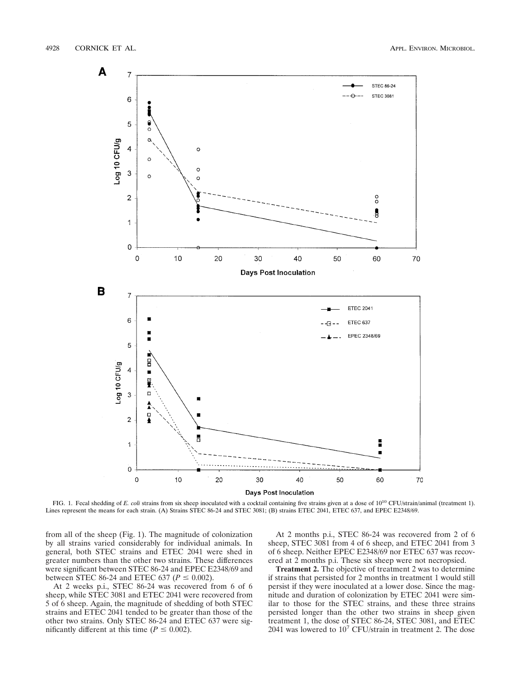

FIG. 1. Fecal shedding of *E. coli* strains from six sheep inoculated with a cocktail containing five strains given at a dose of 10<sup>10</sup> CFU/strain/animal (treatment 1). Lines represent the means for each strain. (A) Strains STEC 86-24 and STEC 3081; (B) strains ETEC 2041, ETEC 637, and EPEC E2348/69.

from all of the sheep (Fig. 1). The magnitude of colonization by all strains varied considerably for individual animals. In general, both STEC strains and ETEC 2041 were shed in greater numbers than the other two strains. These differences were significant between STEC 86-24 and EPEC E2348/69 and between STEC 86-24 and ETEC 637 ( $P \le 0.002$ ).

At 2 weeks p.i., STEC 86-24 was recovered from 6 of 6 sheep, while STEC 3081 and ETEC 2041 were recovered from 5 of 6 sheep. Again, the magnitude of shedding of both STEC strains and ETEC 2041 tended to be greater than those of the other two strains. Only STEC 86-24 and ETEC 637 were significantly different at this time ( $P \leq 0.002$ ).

At 2 months p.i., STEC 86-24 was recovered from 2 of 6 sheep, STEC 3081 from 4 of 6 sheep, and ETEC 2041 from 3 of 6 sheep. Neither EPEC E2348/69 nor ETEC 637 was recovered at 2 months p.i. These six sheep were not necropsied.

**Treatment 2.** The objective of treatment 2 was to determine if strains that persisted for 2 months in treatment 1 would still persist if they were inoculated at a lower dose. Since the magnitude and duration of colonization by ETEC 2041 were similar to those for the STEC strains, and these three strains persisted longer than the other two strains in sheep given treatment 1, the dose of STEC 86-24, STEC 3081, and ETEC  $2041$  was lowered to  $10<sup>7</sup>$  CFU/strain in treatment 2. The dose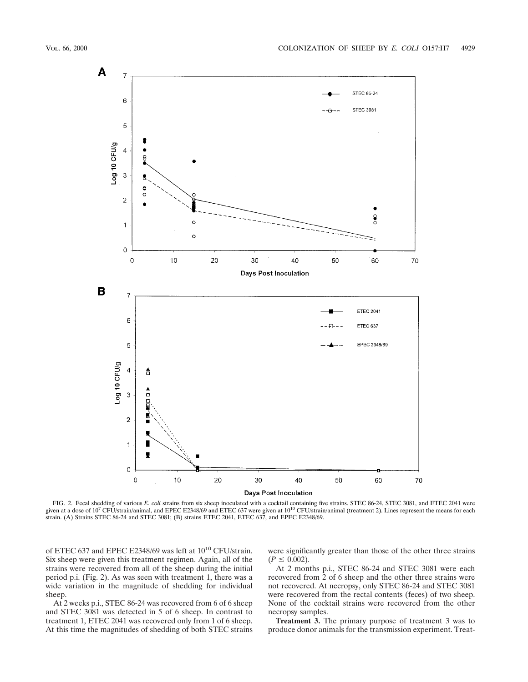

FIG. 2. Fecal shedding of various *E. coli* strains from six sheep inoculated with a cocktail containing five strains. STEC 86-24, STEC 3081, and ETEC 2041 were given at a dose of 10<sup>7</sup> CFU/strain/animal, and EPEC E2348/69 and ETEC 637 were given at  $10^{10}$  CFU/strain/animal (treatment 2). Lines represent the means for each strain. (A) Strains STEC 86-24 and STEC 3081; (B) strains ETEC 2041, ETEC 637, and EPEC E2348/69.

of ETEC 637 and EPEC E2348/69 was left at  $10^{10}$  CFU/strain. Six sheep were given this treatment regimen. Again, all of the strains were recovered from all of the sheep during the initial period p.i. (Fig. 2). As was seen with treatment 1, there was a wide variation in the magnitude of shedding for individual sheep.

At 2 weeks p.i., STEC 86-24 was recovered from 6 of 6 sheep and STEC 3081 was detected in 5 of 6 sheep. In contrast to treatment 1, ETEC 2041 was recovered only from 1 of 6 sheep. At this time the magnitudes of shedding of both STEC strains

were significantly greater than those of the other three strains  $(P \le 0.002)$ .

At 2 months p.i., STEC 86-24 and STEC 3081 were each recovered from 2 of 6 sheep and the other three strains were not recovered. At necropsy, only STEC 86-24 and STEC 3081 were recovered from the rectal contents (feces) of two sheep. None of the cocktail strains were recovered from the other necropsy samples.

**Treatment 3.** The primary purpose of treatment 3 was to produce donor animals for the transmission experiment. Treat-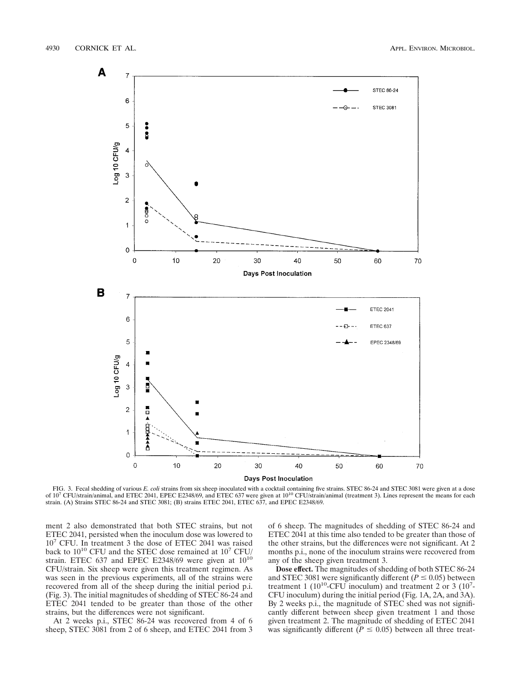

FIG. 3. Fecal shedding of various *E. coli* strains from six sheep inoculated with a cocktail containing five strains. STEC 86-24 and STEC 3081 were given at a dose of 10<sup>7</sup> CFU/strain/animal, and ETEC 2041, EPEC E2348/69, and ETEC 637 were given at 10<sup>10</sup> CFU/strain/animal (treatment 3). Lines represent the means for each strain. (A) Strains STEC 86-24 and STEC 3081; (B) strains ETEC 2041, ETEC 637, and EPEC E2348/69.

ment 2 also demonstrated that both STEC strains, but not ETEC 2041, persisted when the inoculum dose was lowered to 107 CFU. In treatment 3 the dose of ETEC 2041 was raised back to  $10^{10}$  CFU and the STEC dose remained at  $10^7$  CFU/ strain. ETEC 637 and EPEC E2348/69 were given at  $10^{10}$ CFU/strain. Six sheep were given this treatment regimen. As was seen in the previous experiments, all of the strains were recovered from all of the sheep during the initial period p.i. (Fig. 3). The initial magnitudes of shedding of STEC 86-24 and ETEC 2041 tended to be greater than those of the other strains, but the differences were not significant.

At 2 weeks p.i., STEC 86-24 was recovered from 4 of 6 sheep, STEC 3081 from 2 of 6 sheep, and ETEC 2041 from 3 of 6 sheep. The magnitudes of shedding of STEC 86-24 and ETEC 2041 at this time also tended to be greater than those of the other strains, but the differences were not significant. At 2 months p.i., none of the inoculum strains were recovered from any of the sheep given treatment 3.

**Dose effect.** The magnitudes of shedding of both STEC 86-24 and STEC 3081 were significantly different ( $P \le 0.05$ ) between treatment 1 ( $10^{10}$ -CFU inoculum) and treatment 2 or 3 ( $10^{7}$ -CFU inoculum) during the initial period (Fig. 1A, 2A, and 3A). By 2 weeks p.i., the magnitude of STEC shed was not significantly different between sheep given treatment 1 and those given treatment 2. The magnitude of shedding of ETEC 2041 was significantly different ( $P \leq 0.05$ ) between all three treat-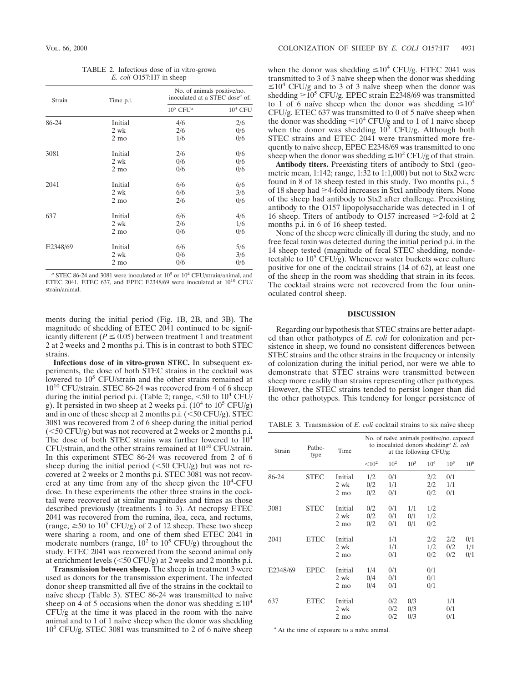|  | TABLE 2. Infectious dose of in vitro-grown |  |
|--|--------------------------------------------|--|
|  | E. coli O157:H7 in sheep                   |  |

| Strain   | Time p.i.      | No. of animals positive/no.<br>inoculated at a STEC dose <sup><i>a</i></sup> of: |            |  |  |
|----------|----------------|----------------------------------------------------------------------------------|------------|--|--|
|          |                | $10^5$ CFU <sup>a</sup>                                                          | $10^4$ CFU |  |  |
| 86-24    | Initial        | 4/6                                                                              | 2/6        |  |  |
|          | 2 wk           | 2/6                                                                              | 0/6        |  |  |
|          | $2 \text{ mo}$ | 1/6                                                                              | 0/6        |  |  |
| 3081     | Initial        | 2/6                                                                              | 0/6        |  |  |
|          | 2 wk           | 0/6                                                                              | 0/6        |  |  |
|          | $2 \text{ mo}$ | 0/6                                                                              | 0/6        |  |  |
| 2041     | Initial        | 6/6                                                                              | 6/6        |  |  |
|          | 2 wk           | 6/6                                                                              | 3/6        |  |  |
|          | $2 \text{ mo}$ | 2/6                                                                              | 0/6        |  |  |
| 637      | Initial        | 6/6                                                                              | 4/6        |  |  |
|          | 2 wk           | 2/6                                                                              | 1/6        |  |  |
|          | $2 \text{ mo}$ | 0/6                                                                              | 0/6        |  |  |
| E2348/69 | Initial        | 6/6                                                                              | 5/6        |  |  |
|          | 2 wk           | 0/6                                                                              | 3/6        |  |  |
|          | 2 mo           | 0/6                                                                              | 0/6        |  |  |

<sup>a</sup> STEC 86-24 and 3081 were inoculated at 10<sup>5</sup> or 10<sup>4</sup> CFU/strain/animal, and ETEC 2041, ETEC 637, and EPEC E2348/69 were inoculated at  $10^{10}$  CFU/ strain/animal.

ments during the initial period (Fig. 1B, 2B, and 3B). The magnitude of shedding of ETEC 2041 continued to be significantly different ( $P \le 0.05$ ) between treatment 1 and treatment 2 at 2 weeks and 2 months p.i. This is in contrast to both STEC strains.

**Infectious dose of in vitro-grown STEC.** In subsequent experiments, the dose of both STEC strains in the cocktail was lowered to  $10^5$  CFU/strain and the other strains remained at  $10^{10}$  CFU/strain. STEC 86-24 was recovered from 4 of 6 sheep during the initial period p.i. (Table 2; range,  $\leq 50$  to 10<sup>4</sup> CFU/ g). It persisted in two sheep at 2 weeks p.i.  $(10^4 \text{ to } 10^5 \text{ CFU/g})$ and in one of these sheep at 2 months p.i.  $(<$  50 CFU/g). STEC 3081 was recovered from 2 of 6 sheep during the initial period  $(<$  50 CFU/g) but was not recovered at 2 weeks or 2 months p.i. The dose of both STEC strains was further lowered to  $10^4$ CFU/strain, and the other strains remained at  $10^{10}$  CFU/strain. In this experiment STEC 86-24 was recovered from 2 of 6 sheep during the initial period  $(<50 \text{ CFU/g})$  but was not recovered at 2 weeks or 2 months p.i. STEC 3081 was not recovered at any time from any of the sheep given the  $10^4$ -CFU dose. In these experiments the other three strains in the cocktail were recovered at similar magnitudes and times as those described previously (treatments 1 to 3). At necropsy ETEC 2041 was recovered from the rumina, ilea, ceca, and rectums, (range,  $\geq 50$  to 10<sup>5</sup> CFU/g) of 2 of 12 sheep. These two sheep were sharing a room, and one of them shed ETEC 2041 in moderate numbers (range,  $10^2$  to  $10^5$  CFU/g) throughout the study. ETEC 2041 was recovered from the second animal only at enrichment levels  $(<50 \text{ CFU/g})$  at 2 weeks and 2 months p.i.

**Transmission between sheep.** The sheep in treatment 3 were used as donors for the transmission experiment. The infected donor sheep transmitted all five of the strains in the cocktail to naïve sheep (Table 3). STEC 86-24 was transmitted to naïve sheep on 4 of 5 occasions when the donor was shedding  $\leq 10^4$  $CFU/g$  at the time it was placed in the room with the naïve animal and to 1 of 1 naïve sheep when the donor was shedding  $10<sup>5</sup>$  CFU/g. STEC 3081 was transmitted to 2 of 6 naïve sheep when the donor was shedding  $\leq 10^4$  CFU/g. ETEC 2041 was transmitted to 3 of 3 naïve sheep when the donor was shedding  $\leq 10^4$  CFU/g and to 3 of 3 naïve sheep when the donor was shedding  $\geq 10^5$  CFU/g. EPEC strain E2348/69 was transmitted to 1 of 6 naïve sheep when the donor was shedding  $\leq 10^4$ CFU/g. ETEC  $637$  was transmitted to 0 of 5 naïve sheep when the donor was shedding  $\leq 10^4$  CFU/g and to 1 of 1 naïve sheep when the donor was shedding  $10^5$  CFU/g. Although both STEC strains and ETEC 2041 were transmitted more frequently to naïve sheep, EPEC E2348/69 was transmitted to one sheep when the donor was shedding  $\leq 10^2$  CFU/g of that strain.

**Antibody titers.** Preexisting titers of antibody to Stx1 (geometric mean, 1:142; range, 1:32 to 1:1,000) but not to Stx2 were found in 8 of 18 sheep tested in this study. Two months p.i., 5 of 18 sheep had  $\geq$ 4-fold increases in Stx1 antibody titers. None of the sheep had antibody to Stx2 after challenge. Preexisting antibody to the O157 lipopolysaccharide was detected in 1 of 16 sheep. Titers of antibody to O157 increased  $\geq$ 2-fold at 2 months p.i. in 6 of 16 sheep tested.

None of the sheep were clinically ill during the study, and no free fecal toxin was detected during the initial period p.i. in the 14 sheep tested (magnitude of fecal STEC shedding, nondetectable to  $10^5$  CFU/g). Whenever water buckets were culture positive for one of the cocktail strains (14 of 62), at least one of the sheep in the room was shedding that strain in its feces. The cocktail strains were not recovered from the four uninoculated control sheep.

## **DISCUSSION**

Regarding our hypothesis that STEC strains are better adapted than other pathotypes of *E. coli* for colonization and persistence in sheep, we found no consistent differences between STEC strains and the other strains in the frequency or intensity of colonization during the initial period, nor were we able to demonstrate that STEC strains were transmitted between sheep more readily than strains representing other pathotypes. However, the STEC strains tended to persist longer than did the other pathotypes. This tendency for longer persistence of

TABLE 3. Transmission of *E. coli* cocktail strains to six naïve sheep

| Strain   | Patho-<br>type | Time                              | No. of naïve animals positive/no. exposed<br>to inoculated donors shedding <sup>a</sup> E. coli<br>at the following CFU/g: |                   |                   |                   |                   |                   |
|----------|----------------|-----------------------------------|----------------------------------------------------------------------------------------------------------------------------|-------------------|-------------------|-------------------|-------------------|-------------------|
|          |                |                                   | < 10 <sup>2</sup>                                                                                                          | $10^2$            | $10^{3}$          | $10^{4}$          | $10^{5}$          | $10^{6}$          |
| 86-24    | <b>STEC</b>    | Initial<br>2 wk<br>2 mo           | 1/2<br>0/2<br>0/2                                                                                                          | 0/1<br>1/1<br>0/1 |                   | 2/2<br>2/2<br>0/2 | 0/1<br>1/1<br>0/1 |                   |
| 3081     | <b>STEC</b>    | Initial<br>2 wk<br>$2 \text{ mo}$ | 0/2<br>0/2<br>0/2                                                                                                          | 0/1<br>0/1<br>0/1 | 1/1<br>0/1<br>0/1 | 1/2<br>1/2<br>0/2 |                   |                   |
| 2041     | <b>ETEC</b>    | Initial<br>2 wk<br>$2 \text{ mo}$ |                                                                                                                            | 1/1<br>1/1<br>0/1 |                   | 2/2<br>1/2<br>0/2 | 2/2<br>0/2<br>0/2 | 0/1<br>1/1<br>0/1 |
| E2348/69 | <b>EPEC</b>    | Initial<br>2 wk<br>2 mo           | 1/4<br>0/4<br>0/4                                                                                                          | 0/1<br>0/1<br>0/1 |                   | 0/1<br>0/1<br>0/1 |                   |                   |
| 637      | <b>ETEC</b>    | Initial<br>2 wk<br>2 mo           |                                                                                                                            | 0/2<br>0/2<br>0/2 | 0/3<br>0/3<br>0/3 |                   | 1/1<br>0/1<br>0/1 |                   |

<sup>*a*</sup> At the time of exposure to a naïve animal.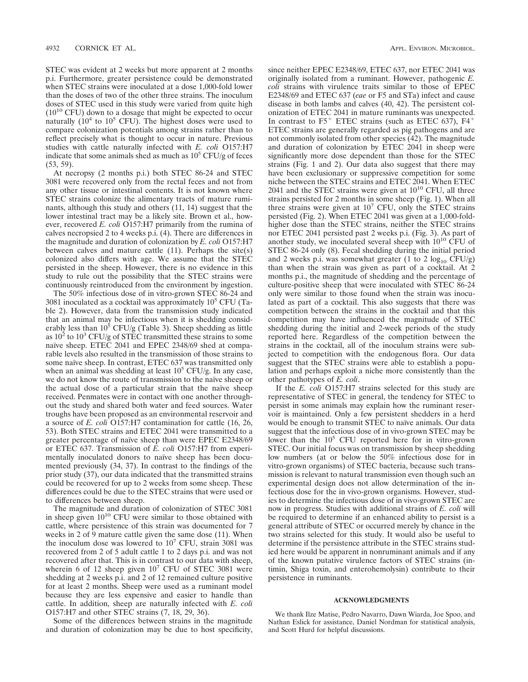STEC was evident at 2 weeks but more apparent at 2 months p.i. Furthermore, greater persistence could be demonstrated when STEC strains were inoculated at a dose 1,000-fold lower than the doses of two of the other three strains. The inoculum doses of STEC used in this study were varied from quite high  $(10^{10}$  CFU) down to a dosage that might be expected to occur naturally  $(10^4 \text{ to } 10^5 \text{ CFU})$ . The highest doses were used to compare colonization potentials among strains rather than to reflect precisely what is thought to occur in nature. Previous studies with cattle naturally infected with *E. coli* O157:H7 indicate that some animals shed as much as  $10<sup>5</sup> CFU/g$  of feces (53, 59).

At necropsy (2 months p.i.) both STEC 86-24 and STEC 3081 were recovered only from the rectal feces and not from any other tissue or intestinal contents. It is not known where STEC strains colonize the alimentary tracts of mature ruminants, although this study and others (11, 14) suggest that the lower intestinal tract may be a likely site. Brown et al., however, recovered *E. coli* O157:H7 primarily from the rumina of calves necropsied 2 to 4 weeks p.i. (4). There are differences in the magnitude and duration of colonization by *E. coli* O157:H7 between calves and mature cattle (11). Perhaps the site(s) colonized also differs with age. We assume that the STEC persisted in the sheep. However, there is no evidence in this study to rule out the possibility that the STEC strains were continuously reintroduced from the environment by ingestion.

The 50% infectious dose of in vitro-grown STEC 86-24 and 3081 inoculated as a cocktail was approximately  $10<sup>5</sup>$  CFU (Table 2). However, data from the transmission study indicated that an animal may be infectious when it is shedding considerably less than  $10^5$  CFU/g (Table 3). Sheep shedding as little as  $10^2$  to  $10^3$  CFU/g of STEC transmitted these strains to some naïve sheep. ETEC 2041 and EPEC 2348/69 shed at comparable levels also resulted in the transmission of those strains to some naïve sheep. In contrast, ETEC 637 was transmitted only when an animal was shedding at least  $10^5$  CFU/g. In any case, we do not know the route of transmission to the naïve sheep or the actual dose of a particular strain that the naïve sheep received. Penmates were in contact with one another throughout the study and shared both water and feed sources. Water troughs have been proposed as an environmental reservoir and a source of *E. coli* O157:H7 contamination for cattle (16, 26, 53). Both STEC strains and ETEC 2041 were transmitted to a greater percentage of naïve sheep than were EPEC E2348/69 or ETEC 637. Transmission of *E. coli* O157:H7 from experimentally inoculated donors to naïve sheep has been documented previously (34, 37). In contrast to the findings of the prior study (37), our data indicated that the transmitted strains could be recovered for up to 2 weeks from some sheep. These differences could be due to the STEC strains that were used or to differences between sheep.

The magnitude and duration of colonization of STEC 3081 in sheep given  $10^{10}$  CFU were similar to those obtained with cattle, where persistence of this strain was documented for 7 weeks in 2 of 9 mature cattle given the same dose (11). When the inoculum dose was lowered to  $10^7$  CFU, strain 3081 was recovered from 2 of 5 adult cattle 1 to 2 days p.i. and was not recovered after that. This is in contrast to our data with sheep, wherein 6 of 12 sheep given  $10^7$  CFU of STEC 3081 were shedding at 2 weeks p.i. and 2 of 12 remained culture positive for at least 2 months. Sheep were used as a ruminant model because they are less expensive and easier to handle than cattle. In addition, sheep are naturally infected with *E. coli* O157:H7 and other STEC strains (7, 18, 29, 36).

Some of the differences between strains in the magnitude and duration of colonization may be due to host specificity, since neither EPEC E2348/69, ETEC 637, nor ETEC 2041 was originally isolated from a ruminant. However, pathogenic *E. coli* strains with virulence traits similar to those of EPEC E2348/69 and ETEC 637 (*eae* or F5 and STa) infect and cause disease in both lambs and calves (40, 42). The persistent colonization of ETEC 2041 in mature ruminants was unexpected. In contrast to  $F5^+$  ETEC strains (such as ETEC 637),  $F4^+$ ETEC strains are generally regarded as pig pathogens and are not commonly isolated from other species  $(42)$ . The magnitude and duration of colonization by ETEC 2041 in sheep were significantly more dose dependent than those for the STEC strains (Fig. 1 and 2). Our data also suggest that there may have been exclusionary or suppressive competition for some niche between the STEC strains and ETEC 2041. When ETEC  $2041$  and the STEC strains were given at  $10^{10}$  CFU, all three strains persisted for 2 months in some sheep (Fig. 1). When all three strains were given at  $10^7$  CFU, only the STEC strains persisted (Fig. 2). When ETEC 2041 was given at a 1,000-foldhigher dose than the STEC strains, neither the STEC strains nor ETEC 2041 persisted past 2 weeks p.i. (Fig. 3). As part of another study, we inoculated several sheep with  $10^{10}$  CFU of STEC 86-24 only (8). Fecal shedding during the initial period and 2 weeks p.i. was somewhat greater (1 to 2  $log_{10}$  CFU/g) than when the strain was given as part of a cocktail. At 2 months p.i., the magnitude of shedding and the percentage of culture-positive sheep that were inoculated with STEC 86-24 only were similar to those found when the strain was inoculated as part of a cocktail. This also suggests that there was competition between the strains in the cocktail and that this competition may have influenced the magnitude of STEC shedding during the initial and 2-week periods of the study reported here. Regardless of the competition between the strains in the cocktail, all of the inoculum strains were subjected to competition with the endogenous flora. Our data suggest that the STEC strains were able to establish a population and perhaps exploit a niche more consistently than the other pathotypes of *E. coli*.

If the *E. coli* O157:H7 strains selected for this study are representative of STEC in general, the tendency for STEC to persist in some animals may explain how the ruminant reservoir is maintained. Only a few persistent shedders in a herd would be enough to transmit STEC to naïve animals. Our data suggest that the infectious dose of in vivo-grown STEC may be lower than the  $10<sup>5</sup>$  CFU reported here for in vitro-grown STEC. Our initial focus was on transmission by sheep shedding low numbers (at or below the 50% infectious dose for in vitro-grown organisms) of STEC bacteria, because such transmission is relevant to natural transmission even though such an experimental design does not allow determination of the infectious dose for the in vivo-grown organisms. However, studies to determine the infectious dose of in vivo-grown STEC are now in progress. Studies with additional strains of *E. coli* will be required to determine if an enhanced ability to persist is a general attribute of STEC or occurred merely by chance in the two strains selected for this study. It would also be useful to determine if the persistence attribute in the STEC strains studied here would be apparent in nonruminant animals and if any of the known putative virulence factors of STEC strains (intimin, Shiga toxin, and enterohemolysin) contribute to their persistence in ruminants.

#### **ACKNOWLEDGMENTS**

We thank Ilze Matise, Pedro Navarro, Dawn Wiarda, Joe Spoo, and Nathan Eslick for assistance, Daniel Nordman for statistical analysis, and Scott Hurd for helpful discussions.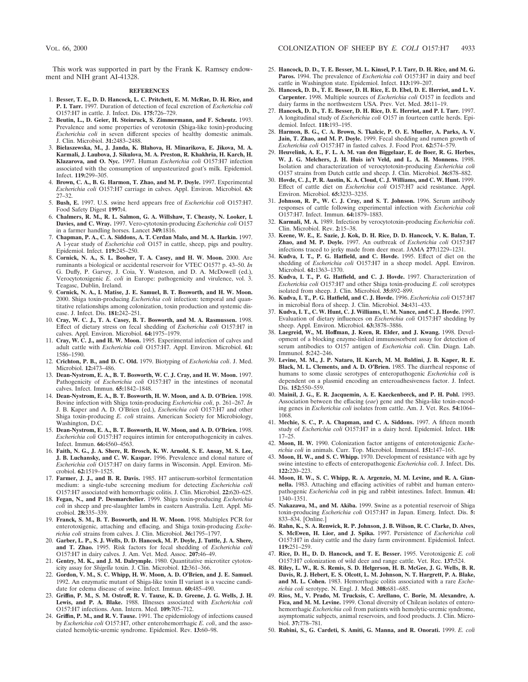This work was supported in part by the Frank K. Ramsey endowment and NIH grant AI-41328.

#### **REFERENCES**

- 1. **Besser, T. E., D. D. Hancock, L. C. Pritchett, E. M. McRae, D. H. Rice, and P. I. Tarr.** 1997. Duration of detection of fecal excretion of *Escherichia coli* O157:H7 in cattle. J. Infect. Dis. **175:**726–729.
- 2. **Beutin, L., D. Geier, H. Steinruck, S. Zimmermann, and F. Scheutz.** 1993. Prevalence and some properties of verotoxin (Shiga-like toxin)-producing *Escherichia coli* in seven different species of healthy domestic animals. J. Clin. Microbiol. **31:**2483–2488.
- 3. **Bielaszewska, M., J. Janda, K. Blahova, H. Minarikova, E. Jikova, M. A. Karmali, J. Laubova, J. Sikulova, M. A. Preston, R. Khakhria, H. Karch, H. Klazarova, and O. Nyc.** 1997. Human *Escherichia coli* O157:H7 infection associated with the consumption of unpasteurized goat's milk. Epidemiol. Infect. **119:**299–305.
- 4. **Brown, C. A., B. G. Harmon, T. Zhao, and M. P. Doyle.** 1997. Experimental *Escherichia coli* O157:H7 carriage in calves. Appl. Environ. Microbiol. **63:** 27–32.
- 5. **Bush, E.** 1997. U.S. swine herd appears free of *Escherichia coli* O157:H7. Food Safety Digest **1997:**4.
- 6. **Chalmers, R. M., R. L. Salmon, G. A. Willshaw, T. Cheasty, N. Looker, I. Davies, and C. Wray.** 1997. Vero-cytotoxin-producing *Escherichia coli* O157 in a farmer handling horses. Lancet **349:**1816.
- 7. **Chapman, P. A., C. A. Siddons, A. T. Cerdan Malo, and M. A. Harkin.** 1997. A 1-year study of *Escherichia coli* O157 in cattle, sheep, pigs and poultry. Epidemiol. Infect. **119:**245–250.
- 8. **Cornick, N. A., S. L. Booher, T. A. Casey, and H. W. Moon.** 2000. Are ruminants a biological or accidental reservoir for VTEC O157? p. 43–50. *In* G. Duffy, P. Garvey, J. Coia, Y. Wasteson, and D. A. McDowell (ed.), Verocytotoxigenic *E. coli* in Europe: pathogenicity and virulence, vol. 3. Teagasc, Dublin, Ireland.
- 9. **Cornick, N. A., I. Matise, J. E. Samuel, B. T. Bosworth, and H. W. Moon.** 2000. Shiga toxin-producing *Escherichia coli* infection: temporal and quantitative relationships among colonization, toxin production and systemic disease. J. Infect. Dis. **181:**242–251.
- 10. **Cray, W. C. J., T. A. Casey, B. T. Bosworth, and M. A. Rasmussen.** 1998. Effect of dietary stress on fecal shedding of *Escherichia coli* O157:H7 in calves. Appl. Environ. Microbiol. **64:**1975–1979.
- 11. **Cray, W. C. J., and H. W. Moon.** 1995. Experimental infection of calves and adult cattle with *Escherichia coli* O157:H7. Appl. Environ. Microbiol. **61:** 1586–1590.
- 12. **Crichton, P. B., and D. C. Old.** 1979. Biotyping of *Escherichia coli*. J. Med. Microbiol. **12:**473–486.
- 13. **Dean-Nystrom, E. A., B. T. Bosworth, W. C. J. Cray, and H. W. Moon.** 1997. Pathogenicity of *Escherichia coli* O157:H7 in the intestines of neonatal calves. Infect. Immun. **65:**1842–1848.
- 14. **Dean-Nystrom, E. A., B. T. Bosworth, H. W. Moon, and A. D. O'Brien.** 1998. Bovine infection with Shiga toxin-producing *Escherichia coli*, p. 261–267. *In* J. B. Kaper and A. D. O'Brien (ed.), *Escherichia coli* O157:H7 and other Shiga toxin-producing *E. coli* strains. American Society for Microbiology, Washington, D.C.
- 15. **Dean-Nystrom, E. A., B. T. Bosworth, H. W. Moon, and A. D. O'Brien.** 1998. *Escherichia coli* O157:H7 requires intimin for enteropathogenicity in calves. Infect. Immun. **66:**4560–4563.
- 16. **Faith, N. G., J. A. Shere, R. Brosch, K. W. Arnold, S. E. Ansay, M. S. Lee, J. B. Luchansky, and C. W. Kaspar.** 1996. Prevalence and clonal nature of *Escherichia coli* O157:H7 on dairy farms in Wisconsin. Appl. Environ. Microbiol. **62:**1519–1525.
- 17. **Farmer, J. J., and B. R. Davis.** 1985. H7 antiserum-sorbitol fermentation medium: a single-tube screening medium for detecting *Escherichia coli* O157:H7 associated with hemorrhagic colitis. J. Clin. Microbiol. **22:**620–625.
- 18. **Fegan, N., and P. Desmarchelier.** 1999. Shiga toxin-producing *Escherichia coli* in sheep and pre-slaughter lambs in eastern Australia. Lett. Appl. Microbiol. **28:**335–339.
- 19. **Franck, S. M., B. T. Bosworth, and H. W. Moon.** 1998. Multiplex PCR for enterotoxigenic, attaching and effacing, and Shiga toxin-producing *Esche-richia coli* strains from calves. J. Clin. Microbiol. **36:**1795–1797.
- 20. **Garber, L. P., S. J. Wells, D. D. Hancock, M. P. Doyle, J. Tuttle, J. A. Shere, and T. Zhao.** 1995. Risk factors for fecal shedding of *Escherichia coli* O157:H7 in dairy calves. J. Am. Vet. Med. Assoc. **207:**46–49.
- 21. **Gentry, M. K., and J. M. Dalrymple.** 1980. Quantitative microtiter cytotoxicity assay for *Shigella* toxin. J. Clin. Microbiol. **12:**361–366.
- 22. **Gordon, V. M., S. C. Whipp, H. W. Moon, A. D. O'Brien, and J. E. Samuel.** 1992. An enzymatic mutant of Shiga-like toxin II variant is a vaccine candidate for edema disease of swine. Infect. Immun. **60:**485–490.
- 23. **Griffin, P. M., S. M. Ostroff, R. V. Tauxe, K. D. Greene, J. G. Wells, J. H. Lewis, and P. A. Blake.** 1988. Illnesses associated with *Escherichia coli* O157:H7 infections. Ann. Intern. Med. **109:**705–712.
- 24. **Griffin, P. M., and R. V. Tauxe.** 1991. The epidemiology of infections caused by *Escherichia coli* O157:H7, other enterohemorrhagic *E. coli*, and the associated hemolytic-uremic syndrome. Epidemiol. Rev. **13:**60–98.
- 25. **Hancock, D. D., T. E. Besser, M. L. Kinsel, P. I. Tarr, D. H. Rice, and M. G. Paros.** 1994. The prevalence of *Escherichia coli* O157:H7 in dairy and beef cattle in Washington state. Epidemiol. Infect. **113:**199–207.
- 26. **Hancock, D. D., T. E. Besser, D. H. Rice, E. D. Ebel, D. E. Herriot, and L. V. Carpenter.** 1998. Multiple sources of *Escherichia coli* O157 in feedlots and dairy farms in the northwestern USA. Prev. Vet. Med. **35:**11–19.
- 27. **Hancock, D. D., T. E. Besser, D. H. Rice, D. E. Herriot, and P. I. Tarr.** 1997. A longitudinal study of *Escherichia coli* O157 in fourteen cattle herds. Epidemiol. Infect. **118:**193–195.
- 28. **Harmon, B. G., C. A. Brown, S. Tkalcic, P. O. E. Mueller, A. Parks, A. V. Jain, T. Zhao, and M. P. Doyle.** 1999. Fecal shedding and rumen growth of *Escherichia coli* O157:H7 in fasted calves. J. Food Prot. **62:**574–579.
- 29. **Heuvelink, A. E., F. L. A. M. van den Biggelaar, E. de Boer, R. G. Herbes, W. J. G. Melchers, J. H. Huis in't Veld, and L. A. H. Monnens.** 1998. Isolation and characterization of verocytotoxin-producing *Escherichia coli* O157 strains from Dutch cattle and sheep. J. Clin. Microbiol. **36:**878–882.
- 30. **Hovde, C. J., P. R. Austin, K. A. Cloud, C. J. Williams, and C. W. Hunt.** 1999. Effect of cattle diet on *Escherichia coli* O157:H7 acid resistance. Appl. Environ. Microbiol. **65:**3233–3235.
- 31. **Johnson, R. P., W. C. J. Cray, and S. T. Johnson.** 1996. Serum antibody responses of cattle following experimental infection with *Escherichia coli* O157:H7. Infect. Immun. **64:**1879–1883.
- 32. **Karmali, M. A.** 1989. Infection by verocytotoxin-producing *Escherichia coli*. Clin. Microbiol. Rev. **2:**15–38.
- 33. **Keene, W. E., E. Sazie, J. Kok, D. H. Rice, D. D. Hancock, V. K. Balan, T. Zhao, and M. P. Doyle.** 1997. An outbreak of *Escherichia coli* O157:H7 infections traced to jerky made from deer meat. JAMA **277:**1229–1231.
- 34. **Kudva, I. T., P. G. Hatfield, and C. Hovde.** 1995. Effect of diet on the shedding of *Escherichia coli* O157:H7 in a sheep model. Appl. Environ. Microbiol. **61:**1363–1370.
- 35. **Kudva, I. T., P. G. Hatfield, and C. J. Hovde.** 1997. Characterization of *Escherichia coli* O157:H7 and other Shiga toxin-producing *E. coli* serotypes isolated from sheep. J. Clin. Microbiol. **35:**892–899.
- 36. **Kudva, I. T., P. G. Hatfield, and C. J. Hovde.** 1996. *Escherichia coli* O157:H7 in microbial flora of sheep. J. Clin. Microbiol. **34:**431–433.
- 37. **Kudva, I. T., C. W. Hunt, C. J. Williams, U. M. Nance, and C. J. Hovde.** 1997. Evaluation of dietary influences on *Escherichia coli* O157:H7 shedding by sheep. Appl. Environ. Microbiol. **63:**3878–3886.
- 38. **Laegreid, W., M. Hoffman, J. Keen, R. Elder, and J. Kwang.** 1998. Development of a blocking enzyme-linked immunosorbent assay for detection of serum antibodies to O157 antigen of *Escherichia coli*. Clin. Diagn. Lab. Immunol. **5:**242–246.
- 39. **Levine, M. M., J. P. Nataro, H. Karch, M. M. Baldini, J. B. Kaper, R. E. Black, M. L. Clements, and A. D. O'Brien.** 1985. The diarrheal response of humans to some classic serotypes of enteropathogenic *Escherichia coli* is dependent on a plasmid encoding an enteroadhesiveness factor. J. Infect. Dis. **152:**550–559.
- 40. **Mainil, J. G., E. R. Jacquemin, A. E. Kaeckenbeeck, and P. H. Pohl.** 1993. Association between the effacing (*eae*) gene and the Shiga-like toxin-encoding genes in *Escherichia coli* isolates from cattle. Am. J. Vet. Res. **54:**1064– 1068.
- 41. **Mechie, S. C., P. A. Chapman, and C. A. Siddons.** 1997. A fifteen month study of *Escherichia coli* O157:H7 in a dairy herd. Epidemiol. Infect. **118:** 17–25.
- 42. **Moon, H. W.** 1990. Colonization factor antigens of enterotoxigenic *Escherichia coli* in animals. Curr. Top. Microbiol. Immunol. **151:**147–165.
- 43. **Moon, H. W., and S. C. Whipp.** 1970. Development of resistance with age by swine intestine to effects of enteropathogenic *Escherichia coli*. J. Infect. Dis. **122:**220–223.
- 44. **Moon, H. W., S. C. Whipp, R. A. Argenzio, M. M. Levine, and R. A. Giannella.** 1983. Attaching and effacing activities of rabbit and human enteropathogenic *Escherichia coli* in pig and rabbit intestines. Infect. Immun. **41:** 1340–1351.
- 45. **Nakazawa, M., and M. Akiba.** 1999. Swine as a potential reservoir of Shiga toxin-producing *Escherichia coli* O157:H7 in Japan. Emerg. Infect. Dis. **5:** 833–834. [Online.]
- 46. **Rahn, K., S. A. Renwick, R. P. Johnson, J. B. Wilson, R. C. Clarke, D. Alves, S. McEwen, H. Lior, and J. Spika.** 1997. Persistence of *Escherichia coli* O157:H7 in dairy cattle and the dairy farm environment. Epidemiol. Infect. **119:**251–259.
- 47. **Rice, D. H., D. D. Hancock, and T. E. Besser.** 1995. Verotoxigenic *E. coli* O157:H7 colonization of wild deer and range cattle. Vet. Rec. **137:**524.
- 48. **Riley, L. W., R. S. Remis, S. D. Helgerson, H. B. McGee, J. G. Wells, B. R. Davis, R. J. Hebert, E. S. Olcott, L. M. Johnson, N. T. Hargrett, P. A. Blake, and M. L. Cohen.** 1983. Hemorrhagic colitis associated with a rare *Escherichia coli* serotype. N. Engl. J. Med. **308:**681–685.
- 49. **Rios, M., V. Prado, M. Trucksis, C. Arellano, C. Borie, M. Alexandre, A. Fica, and M. M. Levine.** 1999. Clonal diversity of Chilean isolates of enterohemorrhagic *Escherichia coli* from patients with hemolytic-uremic syndrome, asymptomatic subjects, animal reservoirs, and food products. J. Clin. Microbiol. **37:**778–781.
- 50. **Rubini, S., G. Cardeti, S. Amiti, G. Manna, and R. Onorati.** 1999. *E. coli*